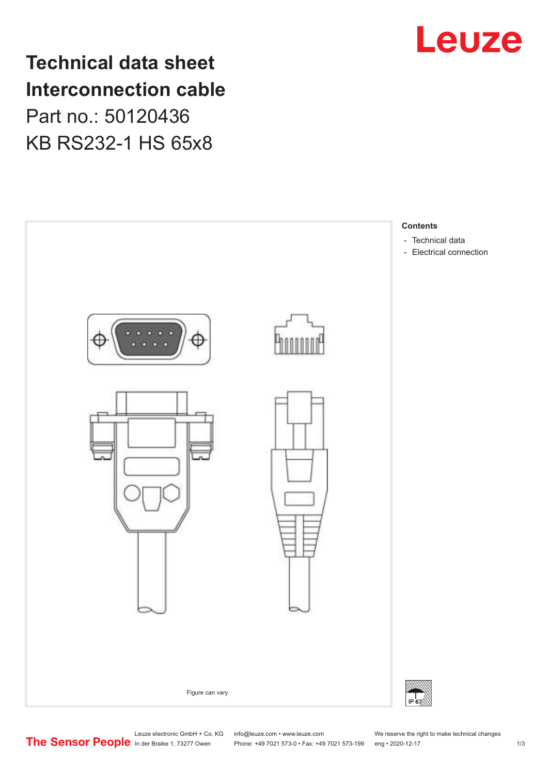

**Technical data sheet Interconnection cable** Part no.: 50120436 KB RS232-1 HS 65x8

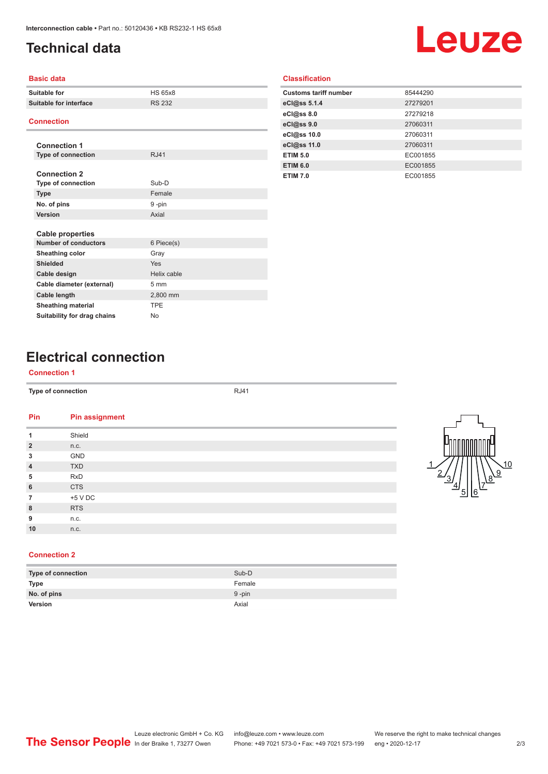## <span id="page-1-0"></span>**Technical data**

# Leuze

#### **Basic data**

| Suitable for                | <b>HS 65x8</b> |  |
|-----------------------------|----------------|--|
| Suitable for interface      | <b>RS 232</b>  |  |
|                             |                |  |
| <b>Connection</b>           |                |  |
|                             |                |  |
| <b>Connection 1</b>         |                |  |
| <b>Type of connection</b>   | R.I41          |  |
|                             |                |  |
| <b>Connection 2</b>         |                |  |
| <b>Type of connection</b>   | Sub-D          |  |
| <b>Type</b>                 | Female         |  |
| No. of pins                 | 9-pin          |  |
| Version                     | Axial          |  |
|                             |                |  |
| <b>Cable properties</b>     |                |  |
| <b>Number of conductors</b> | 6 Piece(s)     |  |
| Sheathing color             | Gray           |  |
| Shielded                    | Yes            |  |
| Cable design                | Helix cable    |  |
| Cable diameter (external)   | $5 \text{ mm}$ |  |
| Cable length                | 2,800 mm       |  |
| <b>Sheathing material</b>   | <b>TPF</b>     |  |
| Suitability for drag chains | No             |  |

### **Classification**

| <b>Customs tariff number</b> | 85444290 |
|------------------------------|----------|
| eCl@ss 5.1.4                 | 27279201 |
| eCl@ss 8.0                   | 27279218 |
| eCl@ss 9.0                   | 27060311 |
| eCl@ss 10.0                  | 27060311 |
| eCl@ss 11.0                  | 27060311 |
| <b>ETIM 5.0</b>              | EC001855 |
| <b>ETIM 6.0</b>              | EC001855 |
| <b>ETIM 7.0</b>              | EC001855 |

# **Electrical connection**

#### **Connection 1**

**Type of connection** RJ41

| Pin            | <b>Pin assignment</b> |
|----------------|-----------------------|
| 1              | Shield                |
| $\overline{2}$ | n.c.                  |
| 3              | GND                   |
| $\overline{4}$ | <b>TXD</b>            |
| 5              | <b>RxD</b>            |
| $6\phantom{1}$ | <b>CTS</b>            |
| $\overline{7}$ | $+5$ V DC             |
| 8              | <b>RTS</b>            |
| 9              | n.c.                  |
| 10             | n.c.                  |



#### **Connection 2**

| Type of connection | Sub-D     |
|--------------------|-----------|
| <b>Type</b>        | Female    |
| No. of pins        | $9 - pin$ |
| Version            | Axial     |